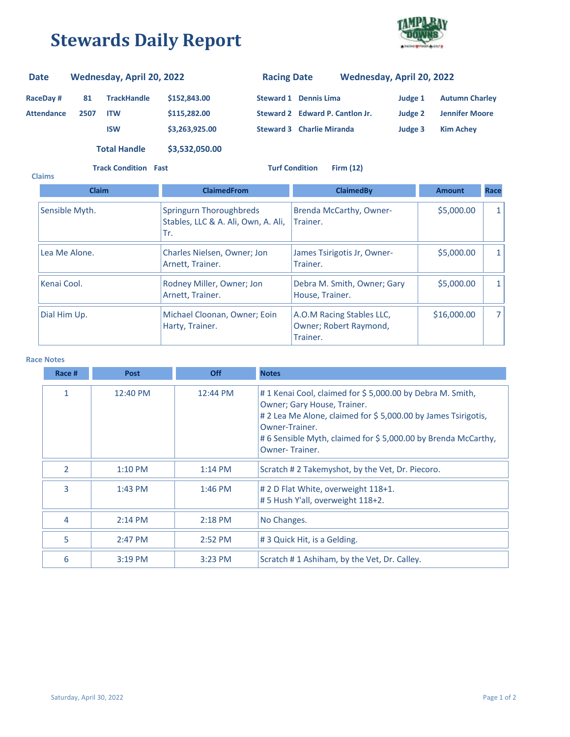## **Stewards Daily Report**



## **RaceDay # 81 Attendance 2507 TrackHandle \$152,843.00 ITW \$115,282.00 ISW \$3,263,925.00 Steward 2 Edward P. Cantlon Jr. Steward 3 Charlie Miranda Judge 3 Kim Achey Judge 2 Jennifer Moore Steward 1 Dennis Lima Judge 1 Autumn Charley Date Wednesday, April 20, 2022 Racing Date Wednesday, April 20, 2022**

**Total Handle \$3,532,050.00**

**Track Condition Fast Turf Condition Firm (12)**

| <b>Claims</b>                                                   |                                                                       |                                                                 |               |              |  |
|-----------------------------------------------------------------|-----------------------------------------------------------------------|-----------------------------------------------------------------|---------------|--------------|--|
| <b>Claim</b>                                                    | <b>ClaimedFrom</b>                                                    | <b>ClaimedBy</b>                                                | <b>Amount</b> | Race         |  |
| Sensible Myth.                                                  | Springurn Thoroughbreds<br>Stables, LLC & A. Ali, Own, A. Ali,<br>Tr. | Brenda McCarthy, Owner-<br>Trainer.                             | \$5,000.00    | 1            |  |
| Lea Me Alone.                                                   | Charles Nielsen, Owner; Jon<br>Arnett, Trainer.                       | James Tsirigotis Jr, Owner-<br>Trainer.                         | \$5,000.00    | $\mathbf{1}$ |  |
| Kenai Cool.                                                     | Rodney Miller, Owner; Jon<br>Arnett, Trainer.                         | Debra M. Smith, Owner; Gary<br>House, Trainer.                  | \$5,000.00    | $\mathbf{1}$ |  |
| Michael Cloonan, Owner; Eoin<br>Dial Him Up.<br>Harty, Trainer. |                                                                       | A.O.M Racing Stables LLC,<br>Owner; Robert Raymond,<br>Trainer. | \$16,000.00   | 7            |  |

## **Race Notes**

| Race # | <b>Post</b> | <b>Off</b> | <b>Notes</b>                                                                                                                                                                                                                                                        |
|--------|-------------|------------|---------------------------------------------------------------------------------------------------------------------------------------------------------------------------------------------------------------------------------------------------------------------|
| 1      | 12:40 PM    | 12:44 PM   | #1 Kenai Cool, claimed for \$5,000.00 by Debra M. Smith,<br>Owner; Gary House, Trainer.<br># 2 Lea Me Alone, claimed for \$5,000.00 by James Tsirigotis,<br>Owner-Trainer.<br>#6 Sensible Myth, claimed for \$5,000.00 by Brenda McCarthy,<br><b>Owner-Trainer.</b> |
| 2      | $1:10$ PM   | $1:14$ PM  | Scratch #2 Takemyshot, by the Vet, Dr. Piecoro.                                                                                                                                                                                                                     |
| 3      | $1:43$ PM   | $1:46$ PM  | # 2 D Flat White, overweight 118+1.<br># 5 Hush Y'all, overweight 118+2.                                                                                                                                                                                            |
| 4      | $2:14$ PM   | $2:18$ PM  | No Changes.                                                                                                                                                                                                                                                         |
| 5      | $2:47$ PM   | 2:52 PM    | # 3 Quick Hit, is a Gelding.                                                                                                                                                                                                                                        |
| 6      | $3:19$ PM   | $3:23$ PM  | Scratch #1 Ashiham, by the Vet, Dr. Calley.                                                                                                                                                                                                                         |